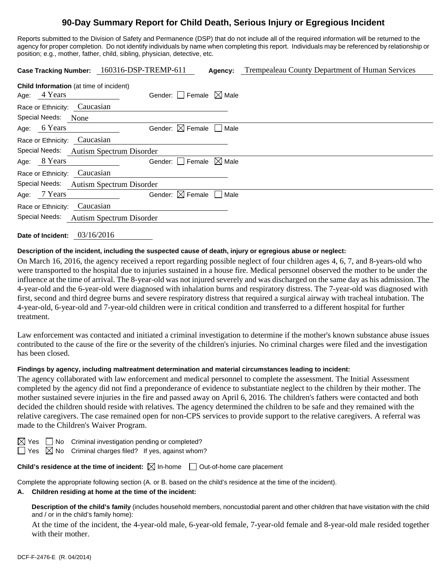# **90-Day Summary Report for Child Death, Serious Injury or Egregious Incident**

Reports submitted to the Division of Safety and Permanence (DSP) that do not include all of the required information will be returned to the agency for proper completion. Do not identify individuals by name when completing this report. Individuals may be referenced by relationship or position; e.g., mother, father, child, sibling, physician, detective, etc.

| <b>Case Tracking Number:</b>                                   | 160316-DSP-TREMP-611                   | Agency: | Trempealeau County Department of Human Services |
|----------------------------------------------------------------|----------------------------------------|---------|-------------------------------------------------|
| <b>Child Information</b> (at time of incident)<br>Age: 4 Years | Gender: Female $\boxtimes$ Male        |         |                                                 |
| Race or Ethnicity: Caucasian                                   |                                        |         |                                                 |
| Special Needs:<br><b>None</b>                                  |                                        |         |                                                 |
| Age: 6 Years                                                   | Gender: $\boxtimes$ Female $\Box$ Male |         |                                                 |
| Caucasian<br>Race or Ethnicity:                                |                                        |         |                                                 |
| Special Needs:<br><b>Autism Spectrum Disorder</b>              |                                        |         |                                                 |
| Age: 8 Years                                                   | Gender: $\Box$ Female $\Box$ Male      |         |                                                 |
| Caucasian<br>Race or Ethnicity:                                |                                        |         |                                                 |
| Special Needs:<br><b>Autism Spectrum Disorder</b>              |                                        |         |                                                 |
| Age: 7 Years                                                   | Gender: $\boxtimes$ Female $\Box$ Male |         |                                                 |
| Caucasian<br>Race or Ethnicity:                                |                                        |         |                                                 |
| Special Needs:<br><b>Autism Spectrum Disorder</b>              |                                        |         |                                                 |

**Date of Incident:** 03/16/2016

#### **Description of the incident, including the suspected cause of death, injury or egregious abuse or neglect:**

On March 16, 2016, the agency received a report regarding possible neglect of four children ages 4, 6, 7, and 8-years-old who were transported to the hospital due to injuries sustained in a house fire. Medical personnel observed the mother to be under the influence at the time of arrival. The 8-year-old was not injured severely and was discharged on the same day as his admission. The 4-year-old and the 6-year-old were diagnosed with inhalation burns and respiratory distress. The 7-year-old was diagnosed with first, second and third degree burns and severe respiratory distress that required a surgical airway with tracheal intubation. The 4-year-old, 6-year-old and 7-year-old children were in critical condition and transferred to a different hospital for further treatment.

Law enforcement was contacted and initiated a criminal investigation to determine if the mother's known substance abuse issues contributed to the cause of the fire or the severity of the children's injuries. No criminal charges were filed and the investigation has been closed.

#### **Findings by agency, including maltreatment determination and material circumstances leading to incident:**

The agency collaborated with law enforcement and medical personnel to complete the assessment. The Initial Assessment completed by the agency did not find a preponderance of evidence to substantiate neglect to the children by their mother. The mother sustained severe injuries in the fire and passed away on April 6, 2016. The children's fathers were contacted and both decided the children should reside with relatives. The agency determined the children to be safe and they remained with the relative caregivers. The case remained open for non-CPS services to provide support to the relative caregivers. A referral was made to the Children's Waiver Program.

 $\boxtimes$  Yes  $\Box$  No Criminal investigation pending or completed?

 $\Box$  Yes  $\boxtimes$  No Criminal charges filed? If yes, against whom?

**Child's residence at the time of incident:**  $\boxtimes$  In-home  $\Box$  Out-of-home care placement

Complete the appropriate following section (A. or B. based on the child's residence at the time of the incident).

**A. Children residing at home at the time of the incident:**

**Description of the child's family** (includes household members, noncustodial parent and other children that have visitation with the child and / or in the child's family home):

 At the time of the incident, the 4-year-old male, 6-year-old female, 7-year-old female and 8-year-old male resided together with their mother.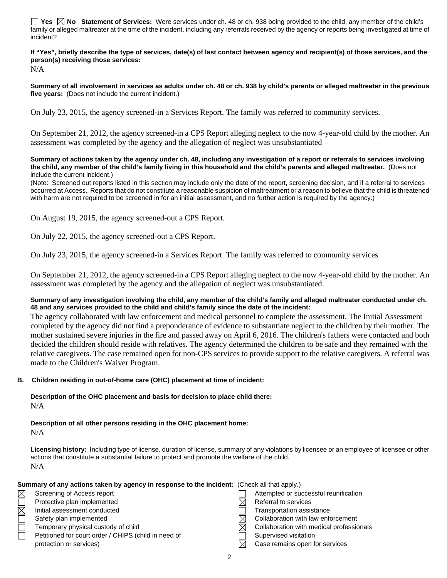**Yes**  $\boxtimes$  **No** Statement of Services: Were services under ch. 48 or ch. 938 being provided to the child, any member of the child's family or alleged maltreater at the time of the incident, including any referrals received by the agency or reports being investigated at time of incident?

**If "Yes", briefly describe the type of services, date(s) of last contact between agency and recipient(s) of those services, and the person(s) receiving those services:** 

N/A

**Summary of all involvement in services as adults under ch. 48 or ch. 938 by child's parents or alleged maltreater in the previous five years:** (Does not include the current incident.)

On July 23, 2015, the agency screened-in a Services Report. The family was referred to community services.

On September 21, 2012, the agency screened-in a CPS Report alleging neglect to the now 4-year-old child by the mother. An assessment was completed by the agency and the allegation of neglect was unsubstantiated

**Summary of actions taken by the agency under ch. 48, including any investigation of a report or referrals to services involving the child, any member of the child's family living in this household and the child's parents and alleged maltreater.** (Does not include the current incident.)

(Note: Screened out reports listed in this section may include only the date of the report, screening decision, and if a referral to services occurred at Access. Reports that do not constitute a reasonable suspicion of maltreatment or a reason to believe that the child is threatened with harm are not required to be screened in for an initial assessment, and no further action is required by the agency.)

On August 19, 2015, the agency screened-out a CPS Report.

On July 22, 2015, the agency screened-out a CPS Report.

On July 23, 2015, the agency screened-in a Services Report. The family was referred to community services

On September 21, 2012, the agency screened-in a CPS Report alleging neglect to the now 4-year-old child by the mother. An assessment was completed by the agency and the allegation of neglect was unsubstantiated.

#### **Summary of any investigation involving the child, any member of the child's family and alleged maltreater conducted under ch. 48 and any services provided to the child and child's family since the date of the incident:**

The agency collaborated with law enforcement and medical personnel to complete the assessment. The Initial Assessment completed by the agency did not find a preponderance of evidence to substantiate neglect to the children by their mother. The mother sustained severe injuries in the fire and passed away on April 6, 2016. The children's fathers were contacted and both decided the children should reside with relatives. The agency determined the children to be safe and they remained with the relative caregivers. The case remained open for non-CPS services to provide support to the relative caregivers. A referral was made to the Children's Waiver Program.

### **B. Children residing in out-of-home care (OHC) placement at time of incident:**

**Description of the OHC placement and basis for decision to place child there:**  N/A

**Description of all other persons residing in the OHC placement home:** 

N/A

**Licensing history:** Including type of license, duration of license, summary of any violations by licensee or an employee of licensee or other actions that constitute a substantial failure to protect and promote the welfare of the child. N/A

|                        | Summary of any actions taken by agency in response to the incident: (Check all that apply.) |                                          |
|------------------------|---------------------------------------------------------------------------------------------|------------------------------------------|
| $\boxtimes$            | Screening of Access report                                                                  | Attempted or successful reunification    |
|                        | Protective plan implemented                                                                 | Referral to services                     |
| $\overline{\boxtimes}$ | Initial assessment conducted                                                                | <b>Transportation assistance</b>         |
|                        | Safety plan implemented                                                                     | Collaboration with law enforcement       |
| $\Box$                 | Temporary physical custody of child                                                         | Collaboration with medical professionals |
| П                      | Petitioned for court order / CHIPS (child in need of                                        | Supervised visitation                    |
|                        | protection or services)                                                                     | Case remains open for services           |